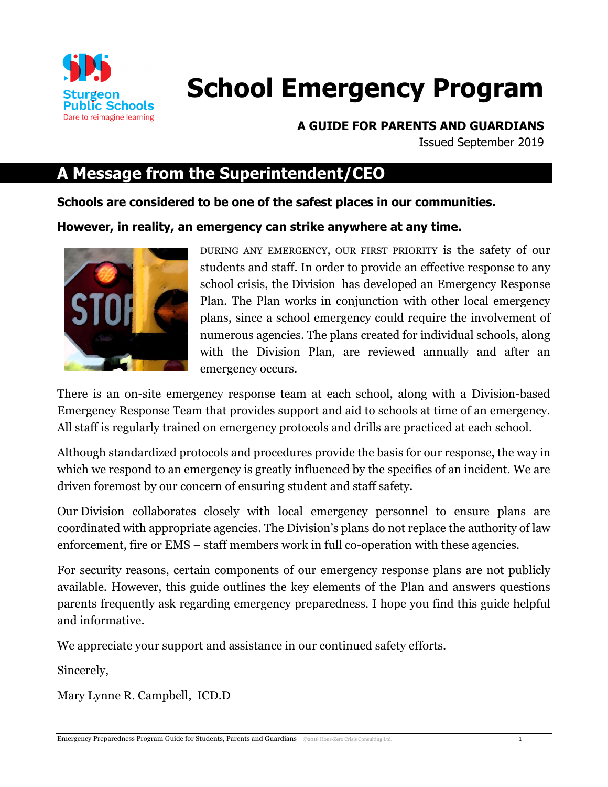

# **School Emergency Program**

### **A GUIDE FOR PARENTS AND GUARDIANS**

Issued September 2019

### **A Message from the Superintendent/CEO**

**Schools are considered to be one of the safest places in our communities.** 

**However, in reality, an emergency can strike anywhere at any time.** 



DURING ANY EMERGENCY, OUR FIRST PRIORITY is the safety of our students and staff. In order to provide an effective response to any school crisis, the Division has developed an Emergency Response Plan. The Plan works in conjunction with other local emergency plans, since a school emergency could require the involvement of numerous agencies. The plans created for individual schools, along with the Division Plan, are reviewed annually and after an emergency occurs.

There is an on-site emergency response team at each school, along with a Division-based Emergency Response Team that provides support and aid to schools at time of an emergency. All staff is regularly trained on emergency protocols and drills are practiced at each school.

Although standardized protocols and procedures provide the basis for our response, the way in which we respond to an emergency is greatly influenced by the specifics of an incident. We are driven foremost by our concern of ensuring student and staff safety.

Our Division collaborates closely with local emergency personnel to ensure plans are coordinated with appropriate agencies. The Division's plans do not replace the authority of law enforcement, fire or EMS – staff members work in full co-operation with these agencies.

For security reasons, certain components of our emergency response plans are not publicly available. However, this guide outlines the key elements of the Plan and answers questions parents frequently ask regarding emergency preparedness. I hope you find this guide helpful and informative.

We appreciate your support and assistance in our continued safety efforts.

Sincerely,

Mary Lynne R. Campbell, ICD.D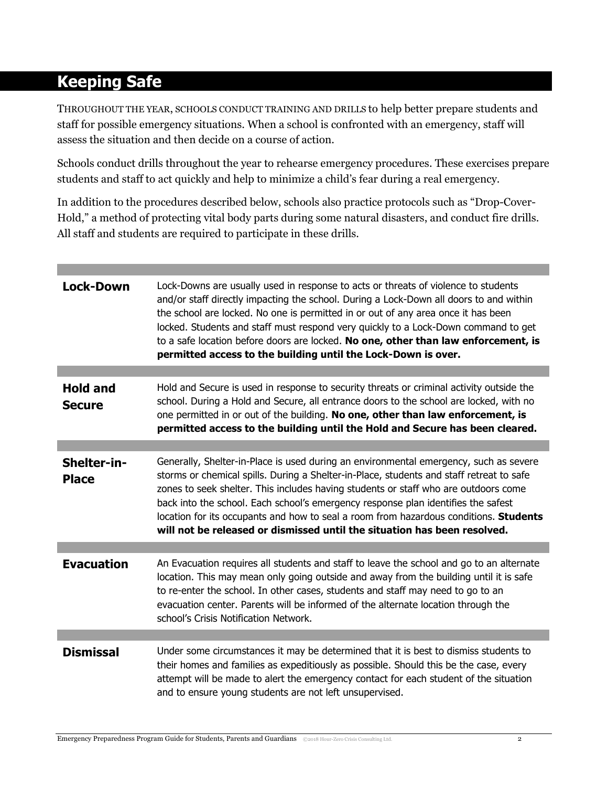## **Keeping Safe**

THROUGHOUT THE YEAR, SCHOOLS CONDUCT TRAINING AND DRILLS to help better prepare students and staff for possible emergency situations. When a school is confronted with an emergency, staff will assess the situation and then decide on a course of action.

Schools conduct drills throughout the year to rehearse emergency procedures. These exercises prepare students and staff to act quickly and help to minimize a child's fear during a real emergency.

In addition to the procedures described below, schools also practice protocols such as "Drop-Cover-Hold," a method of protecting vital body parts during some natural disasters, and conduct fire drills. All staff and students are required to participate in these drills.

| <b>Lock-Down</b>                 | Lock-Downs are usually used in response to acts or threats of violence to students<br>and/or staff directly impacting the school. During a Lock-Down all doors to and within<br>the school are locked. No one is permitted in or out of any area once it has been<br>locked. Students and staff must respond very quickly to a Lock-Down command to get<br>to a safe location before doors are locked. No one, other than law enforcement, is<br>permitted access to the building until the Lock-Down is over.                     |
|----------------------------------|------------------------------------------------------------------------------------------------------------------------------------------------------------------------------------------------------------------------------------------------------------------------------------------------------------------------------------------------------------------------------------------------------------------------------------------------------------------------------------------------------------------------------------|
|                                  |                                                                                                                                                                                                                                                                                                                                                                                                                                                                                                                                    |
| <b>Hold and</b><br><b>Secure</b> | Hold and Secure is used in response to security threats or criminal activity outside the<br>school. During a Hold and Secure, all entrance doors to the school are locked, with no<br>one permitted in or out of the building. No one, other than law enforcement, is<br>permitted access to the building until the Hold and Secure has been cleared.                                                                                                                                                                              |
|                                  |                                                                                                                                                                                                                                                                                                                                                                                                                                                                                                                                    |
| Shelter-in-<br><b>Place</b>      | Generally, Shelter-in-Place is used during an environmental emergency, such as severe<br>storms or chemical spills. During a Shelter-in-Place, students and staff retreat to safe<br>zones to seek shelter. This includes having students or staff who are outdoors come<br>back into the school. Each school's emergency response plan identifies the safest<br>location for its occupants and how to seal a room from hazardous conditions. Students<br>will not be released or dismissed until the situation has been resolved. |
|                                  |                                                                                                                                                                                                                                                                                                                                                                                                                                                                                                                                    |
| <b>Evacuation</b>                | An Evacuation requires all students and staff to leave the school and go to an alternate<br>location. This may mean only going outside and away from the building until it is safe<br>to re-enter the school. In other cases, students and staff may need to go to an<br>evacuation center. Parents will be informed of the alternate location through the<br>school's Crisis Notification Network.                                                                                                                                |
|                                  |                                                                                                                                                                                                                                                                                                                                                                                                                                                                                                                                    |
| <b>Dismissal</b>                 | Under some circumstances it may be determined that it is best to dismiss students to<br>their homes and families as expeditiously as possible. Should this be the case, every<br>attempt will be made to alert the emergency contact for each student of the situation<br>and to ensure young students are not left unsupervised.                                                                                                                                                                                                  |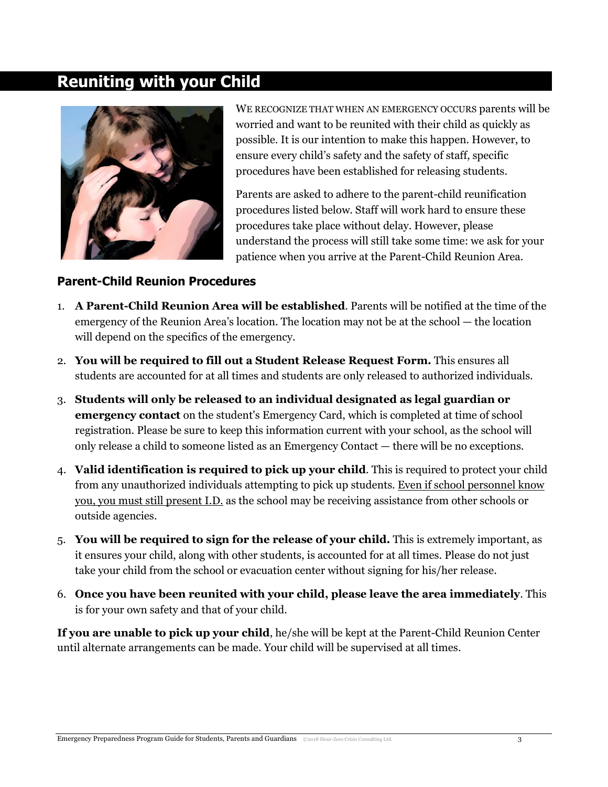### **Reuniting with your Child**



WE RECOGNIZE THAT WHEN AN EMERGENCY OCCURS parents will be worried and want to be reunited with their child as quickly as possible. It is our intention to make this happen. However, to ensure every child's safety and the safety of staff, specific procedures have been established for releasing students.

Parents are asked to adhere to the parent-child reunification procedures listed below. Staff will work hard to ensure these procedures take place without delay. However, please understand the process will still take some time: we ask for your patience when you arrive at the Parent-Child Reunion Area.

#### **Parent-Child Reunion Procedures**

- 1. **A Parent-Child Reunion Area will be established**. Parents will be notified at the time of the emergency of the Reunion Area's location. The location may not be at the school — the location will depend on the specifics of the emergency.
- 2. **You will be required to fill out a Student Release Request Form.** This ensures all students are accounted for at all times and students are only released to authorized individuals.
- 3. **Students will only be released to an individual designated as legal guardian or emergency contact** on the student's Emergency Card, which is completed at time of school registration. Please be sure to keep this information current with your school, as the school will only release a child to someone listed as an Emergency Contact — there will be no exceptions.
- 4. **Valid identification is required to pick up your child**. This is required to protect your child from any unauthorized individuals attempting to pick up students. Even if school personnel know you, you must still present I.D. as the school may be receiving assistance from other schools or outside agencies.
- 5. **You will be required to sign for the release of your child.** This is extremely important, as it ensures your child, along with other students, is accounted for at all times. Please do not just take your child from the school or evacuation center without signing for his/her release.
- 6. **Once you have been reunited with your child, please leave the area immediately**. This is for your own safety and that of your child.

**If you are unable to pick up your child**, he/she will be kept at the Parent-Child Reunion Center until alternate arrangements can be made. Your child will be supervised at all times.